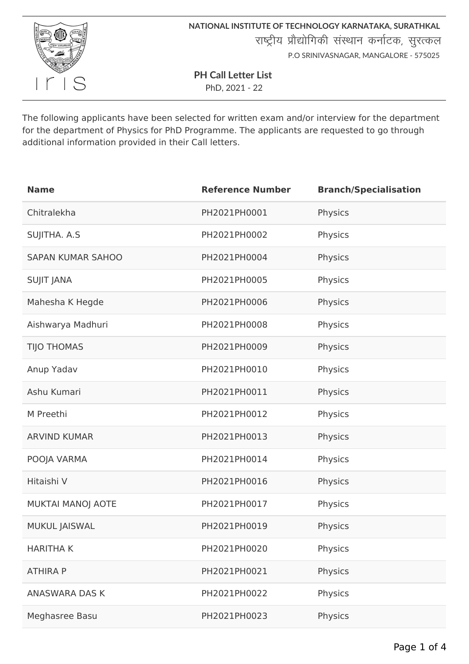

**NATIONAL INSTITUTE OF TECHNOLOGY KARNATAKA, SURATHKAL** राष्ट्रीय प्रौद्योगिकी संस्थान कर्नाटक, सुरत्कल P.O SRINIVASNAGAR, MANGALORE - 575025

**PH Call Letter List**

PhD, 2021 - 22

The following applicants have been selected for written exam and/or interview for the department for the department of Physics for PhD Programme. The applicants are requested to go through additional information provided in their Call letters.

| <b>Name</b>              | <b>Reference Number</b> | <b>Branch/Specialisation</b> |
|--------------------------|-------------------------|------------------------------|
| Chitralekha              | PH2021PH0001            | Physics                      |
| SUJITHA. A.S             | PH2021PH0002            | Physics                      |
| <b>SAPAN KUMAR SAHOO</b> | PH2021PH0004            | Physics                      |
| <b>SUJIT JANA</b>        | PH2021PH0005            | Physics                      |
| Mahesha K Hegde          | PH2021PH0006            | Physics                      |
| Aishwarya Madhuri        | PH2021PH0008            | Physics                      |
| <b>TIJO THOMAS</b>       | PH2021PH0009            | Physics                      |
| Anup Yadav               | PH2021PH0010            | Physics                      |
| Ashu Kumari              | PH2021PH0011            | Physics                      |
| M Preethi                | PH2021PH0012            | Physics                      |
| <b>ARVIND KUMAR</b>      | PH2021PH0013            | Physics                      |
| POOJA VARMA              | PH2021PH0014            | Physics                      |
| Hitaishi V               | PH2021PH0016            | Physics                      |
| <b>MUKTAI MANOJ AOTE</b> | PH2021PH0017            | Physics                      |
| <b>MUKUL JAISWAL</b>     | PH2021PH0019            | Physics                      |
| <b>HARITHAK</b>          | PH2021PH0020            | Physics                      |
| <b>ATHIRA P</b>          | PH2021PH0021            | Physics                      |
| <b>ANASWARA DAS K</b>    | PH2021PH0022            | Physics                      |
| Meghasree Basu           | PH2021PH0023            | Physics                      |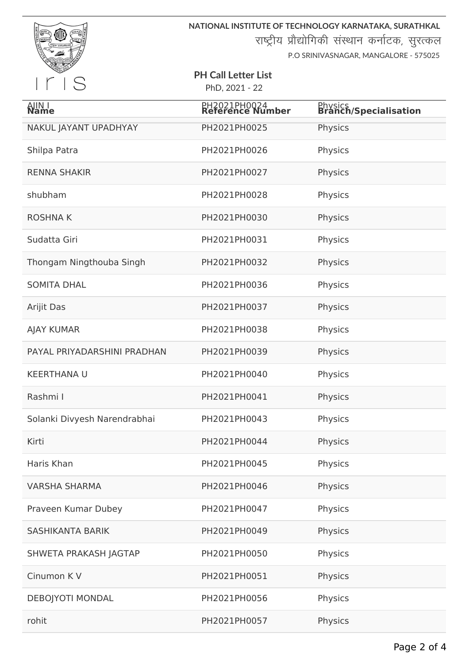

**NATIONAL INSTITUTE OF TECHNOLOGY KARNATAKA, SURATHKAL**

राष्ट्रीय प्रौद्योगिकी संस्थान कर्नाटक, सुरत्कल

P.O SRINIVASNAGAR, MANGALORE - 575025

## **PH Call Letter List**

PhD, 2021 - 22

| AJIN I<br><b>Name</b>        | PH2021PH0024<br>Reference Number | <b>Physics</b><br><b>Branch/Specialisation</b> |
|------------------------------|----------------------------------|------------------------------------------------|
| NAKUL JAYANT UPADHYAY        | PH2021PH0025                     | Physics                                        |
| Shilpa Patra                 | PH2021PH0026                     | Physics                                        |
| <b>RENNA SHAKIR</b>          | PH2021PH0027                     | Physics                                        |
| shubham                      | PH2021PH0028                     | Physics                                        |
| <b>ROSHNAK</b>               | PH2021PH0030                     | Physics                                        |
| Sudatta Giri                 | PH2021PH0031                     | Physics                                        |
| Thongam Ningthouba Singh     | PH2021PH0032                     | Physics                                        |
| <b>SOMITA DHAL</b>           | PH2021PH0036                     | Physics                                        |
| Arijit Das                   | PH2021PH0037                     | Physics                                        |
| <b>AJAY KUMAR</b>            | PH2021PH0038                     | Physics                                        |
| PAYAL PRIYADARSHINI PRADHAN  | PH2021PH0039                     | Physics                                        |
| <b>KEERTHANA U</b>           | PH2021PH0040                     | Physics                                        |
| Rashmi I                     | PH2021PH0041                     | Physics                                        |
| Solanki Divyesh Narendrabhai | PH2021PH0043                     | Physics                                        |
| Kirti                        | PH2021PH0044                     | Physics                                        |
| Haris Khan                   | PH2021PH0045                     | Physics                                        |
| <b>VARSHA SHARMA</b>         | PH2021PH0046                     | Physics                                        |
| Praveen Kumar Dubey          | PH2021PH0047                     | Physics                                        |
| <b>SASHIKANTA BARIK</b>      | PH2021PH0049                     | Physics                                        |
| SHWETA PRAKASH JAGTAP        | PH2021PH0050                     | Physics                                        |
| Cinumon K V                  | PH2021PH0051                     | Physics                                        |
| <b>DEBOJYOTI MONDAL</b>      | PH2021PH0056                     | Physics                                        |
| rohit                        | PH2021PH0057                     | Physics                                        |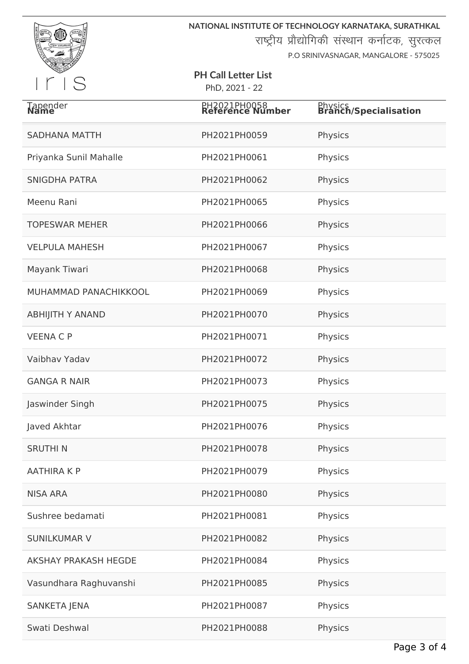

**NATIONAL INSTITUTE OF TECHNOLOGY KARNATAKA, SURATHKAL**

राष्ट्रीय प्रौद्योगिकी संस्थान कर्नाटक, सुरत्कल

P.O SRINIVASNAGAR, MANGALORE - 575025

## **PH Call Letter List** PhD, 2021 - 22

| Tapender<br><b>Name</b>     | PH2021PH0058<br>Reference Number | <b>Physics</b><br><b>Branch/Specialisation</b> |
|-----------------------------|----------------------------------|------------------------------------------------|
| <b>SADHANA MATTH</b>        | PH2021PH0059                     | Physics                                        |
| Priyanka Sunil Mahalle      | PH2021PH0061                     | Physics                                        |
| <b>SNIGDHA PATRA</b>        | PH2021PH0062                     | Physics                                        |
| Meenu Rani                  | PH2021PH0065                     | Physics                                        |
| <b>TOPESWAR MEHER</b>       | PH2021PH0066                     | Physics                                        |
| <b>VELPULA MAHESH</b>       | PH2021PH0067                     | Physics                                        |
| Mayank Tiwari               | PH2021PH0068                     | Physics                                        |
| MUHAMMAD PANACHIKKOOL       | PH2021PH0069                     | Physics                                        |
| <b>ABHIJITH Y ANAND</b>     | PH2021PH0070                     | Physics                                        |
| <b>VEENA C P</b>            | PH2021PH0071                     | Physics                                        |
| Vaibhav Yadav               | PH2021PH0072                     | Physics                                        |
| <b>GANGA R NAIR</b>         | PH2021PH0073                     | Physics                                        |
| Jaswinder Singh             | PH2021PH0075                     | Physics                                        |
| Javed Akhtar                | PH2021PH0076                     | Physics                                        |
| <b>SRUTHIN</b>              | PH2021PH0078                     | Physics                                        |
| <b>AATHIRA K P</b>          | PH2021PH0079                     | Physics                                        |
| <b>NISA ARA</b>             | PH2021PH0080                     | Physics                                        |
| Sushree bedamati            | PH2021PH0081                     | Physics                                        |
| <b>SUNILKUMAR V</b>         | PH2021PH0082                     | Physics                                        |
| <b>AKSHAY PRAKASH HEGDE</b> | PH2021PH0084                     | Physics                                        |
| Vasundhara Raghuvanshi      | PH2021PH0085                     | Physics                                        |
| <b>SANKETA JENA</b>         | PH2021PH0087                     | Physics                                        |
| Swati Deshwal               | PH2021PH0088                     | Physics                                        |